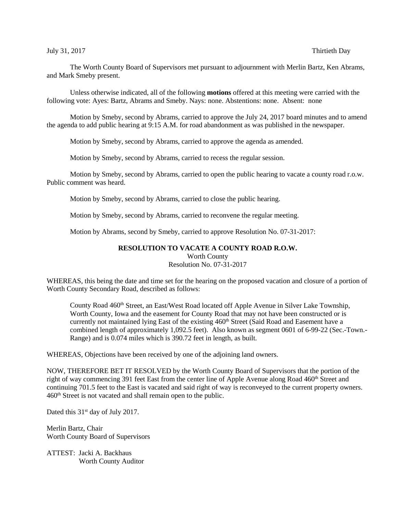## July 31, 2017 Thirtieth Day

The Worth County Board of Supervisors met pursuant to adjournment with Merlin Bartz, Ken Abrams, and Mark Smeby present.

Unless otherwise indicated, all of the following **motions** offered at this meeting were carried with the following vote: Ayes: Bartz, Abrams and Smeby. Nays: none. Abstentions: none. Absent: none

Motion by Smeby, second by Abrams, carried to approve the July 24, 2017 board minutes and to amend the agenda to add public hearing at 9:15 A.M. for road abandonment as was published in the newspaper.

Motion by Smeby, second by Abrams, carried to approve the agenda as amended.

Motion by Smeby, second by Abrams, carried to recess the regular session.

Motion by Smeby, second by Abrams, carried to open the public hearing to vacate a county road r.o.w. Public comment was heard.

Motion by Smeby, second by Abrams, carried to close the public hearing.

Motion by Smeby, second by Abrams, carried to reconvene the regular meeting.

Motion by Abrams, second by Smeby, carried to approve Resolution No. 07-31-2017:

## **RESOLUTION TO VACATE A COUNTY ROAD R.O.W.**

Worth County

Resolution No. 07-31-2017

WHEREAS, this being the date and time set for the hearing on the proposed vacation and closure of a portion of Worth County Secondary Road, described as follows:

County Road 460<sup>th</sup> Street, an East/West Road located off Apple Avenue in Silver Lake Township, Worth County, Iowa and the easement for County Road that may not have been constructed or is currently not maintained lying East of the existing 460<sup>th</sup> Street (Said Road and Easement have a combined length of approximately 1,092.5 feet). Also known as segment 0601 of 6-99-22 (Sec.-Town.- Range) and is 0.074 miles which is 390.72 feet in length, as built.

WHEREAS, Objections have been received by one of the adjoining land owners.

NOW, THEREFORE BET IT RESOLVED by the Worth County Board of Supervisors that the portion of the right of way commencing 391 feet East from the center line of Apple Avenue along Road 460<sup>th</sup> Street and continuing 701.5 feet to the East is vacated and said right of way is reconveyed to the current property owners. 460th Street is not vacated and shall remain open to the public.

Dated this 31<sup>st</sup> day of July 2017.

Merlin Bartz, Chair Worth County Board of Supervisors

ATTEST: Jacki A. Backhaus Worth County Auditor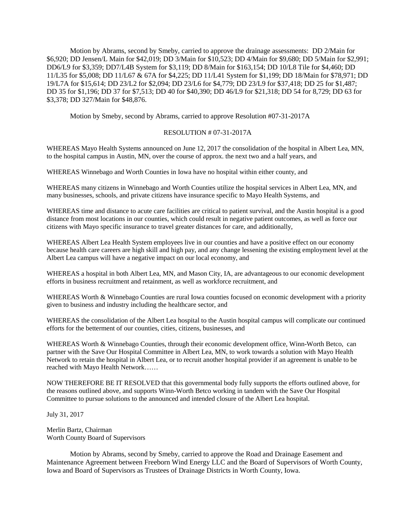Motion by Abrams, second by Smeby, carried to approve the drainage assessments: DD 2/Main for \$6,920; DD Jensen/L Main for \$42,019; DD 3/Main for \$10,523; DD 4/Main for \$9,680; DD 5/Main for \$2,991; DD6/L9 for \$3,359; DD7/L4B System for \$3,119; DD 8/Main for \$163,154; DD 10/L8 Tile for \$4,460; DD 11/L35 for \$5,008; DD 11/L67 & 67A for \$4,225; DD 11/L41 System for \$1,199; DD 18/Main for \$78,971; DD 19/L7A for \$15,614; DD 23/L2 for \$2,094; DD 23/L6 for \$4,779; DD 23/L9 for \$37,418; DD 25 for \$1,487; DD 35 for \$1,196; DD 37 for \$7,513; DD 40 for \$40,390; DD 46/L9 for \$21,318; DD 54 for 8,729; DD 63 for \$3,378; DD 327/Main for \$48,876.

Motion by Smeby, second by Abrams, carried to approve Resolution #07-31-2017A

## RESOLUTION # 07-31-2017A

WHEREAS Mayo Health Systems announced on June 12, 2017 the consolidation of the hospital in Albert Lea, MN, to the hospital campus in Austin, MN, over the course of approx. the next two and a half years, and

WHEREAS Winnebago and Worth Counties in Iowa have no hospital within either county, and

WHEREAS many citizens in Winnebago and Worth Counties utilize the hospital services in Albert Lea, MN, and many businesses, schools, and private citizens have insurance specific to Mayo Health Systems, and

WHEREAS time and distance to acute care facilities are critical to patient survival, and the Austin hospital is a good distance from most locations in our counties, which could result in negative patient outcomes, as well as force our citizens with Mayo specific insurance to travel greater distances for care, and additionally,

WHEREAS Albert Lea Health System employees live in our counties and have a positive effect on our economy because health care careers are high skill and high pay, and any change lessening the existing employment level at the Albert Lea campus will have a negative impact on our local economy, and

WHEREAS a hospital in both Albert Lea, MN, and Mason City, IA, are advantageous to our economic development efforts in business recruitment and retainment, as well as workforce recruitment, and

WHEREAS Worth & Winnebago Counties are rural Iowa counties focused on economic development with a priority given to business and industry including the healthcare sector, and

WHEREAS the consolidation of the Albert Lea hospital to the Austin hospital campus will complicate our continued efforts for the betterment of our counties, cities, citizens, businesses, and

WHEREAS Worth & Winnebago Counties, through their economic development office, Winn-Worth Betco, can partner with the Save Our Hospital Committee in Albert Lea, MN, to work towards a solution with Mayo Health Network to retain the hospital in Albert Lea, or to recruit another hospital provider if an agreement is unable to be reached with Mayo Health Network……

NOW THEREFORE BE IT RESOLVED that this governmental body fully supports the efforts outlined above, for the reasons outlined above, and supports Winn-Worth Betco working in tandem with the Save Our Hospital Committee to pursue solutions to the announced and intended closure of the Albert Lea hospital.

July 31, 2017

Merlin Bartz, Chairman Worth County Board of Supervisors

Motion by Abrams, second by Smeby, carried to approve the Road and Drainage Easement and Maintenance Agreement between Freeborn Wind Energy LLC and the Board of Supervisors of Worth County, Iowa and Board of Supervisors as Trustees of Drainage Districts in Worth County, Iowa.